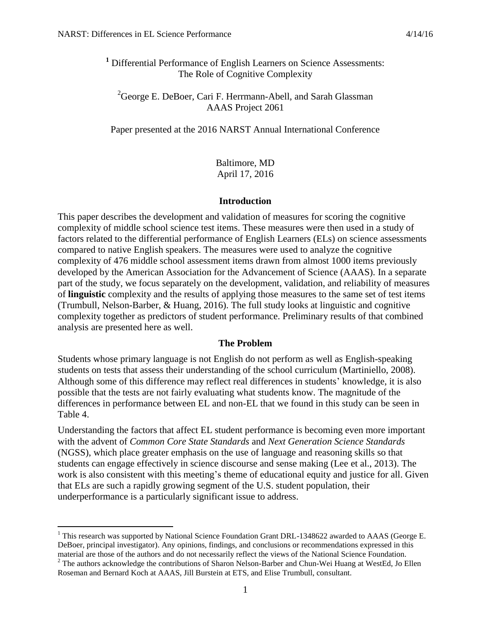$\overline{a}$ 

**<sup>1</sup>** Differential Performance of English Learners on Science Assessments: The Role of Cognitive Complexity

 ${}^{2}$ George E. DeBoer, Cari F. Herrmann-Abell, and Sarah Glassman AAAS Project 2061

Paper presented at the 2016 NARST Annual International Conference

Baltimore, MD April 17, 2016

#### **Introduction**

This paper describes the development and validation of measures for scoring the cognitive complexity of middle school science test items. These measures were then used in a study of factors related to the differential performance of English Learners (ELs) on science assessments compared to native English speakers. The measures were used to analyze the cognitive complexity of 476 middle school assessment items drawn from almost 1000 items previously developed by the American Association for the Advancement of Science (AAAS). In a separate part of the study, we focus separately on the development, validation, and reliability of measures of **linguistic** complexity and the results of applying those measures to the same set of test items (Trumbull, Nelson-Barber, & Huang, 2016). The full study looks at linguistic and cognitive complexity together as predictors of student performance. Preliminary results of that combined analysis are presented here as well.

#### **The Problem**

Students whose primary language is not English do not perform as well as English-speaking students on tests that assess their understanding of the school curriculum (Martiniello, 2008). Although some of this difference may reflect real differences in students' knowledge, it is also possible that the tests are not fairly evaluating what students know. The magnitude of the differences in performance between EL and non-EL that we found in this study can be seen in Table 4.

Understanding the factors that affect EL student performance is becoming even more important with the advent of *Common Core State Standards* and *Next Generation Science Standards* (NGSS), which place greater emphasis on the use of language and reasoning skills so that students can engage effectively in science discourse and sense making (Lee et al., 2013). The work is also consistent with this meeting's theme of educational equity and justice for all. Given that ELs are such a rapidly growing segment of the U.S. student population, their underperformance is a particularly significant issue to address.

<sup>&</sup>lt;sup>1</sup> This research was supported by National Science Foundation Grant DRL-1348622 awarded to AAAS (George E. DeBoer, principal investigator). Any opinions, findings, and conclusions or recommendations expressed in this material are those of the authors and do not necessarily reflect the views of the National Science Foundation.

 $2^2$  The authors acknowledge the contributions of Sharon Nelson-Barber and Chun-Wei Huang at WestEd, Jo Ellen Roseman and Bernard Koch at AAAS, Jill Burstein at ETS, and Elise Trumbull, consultant.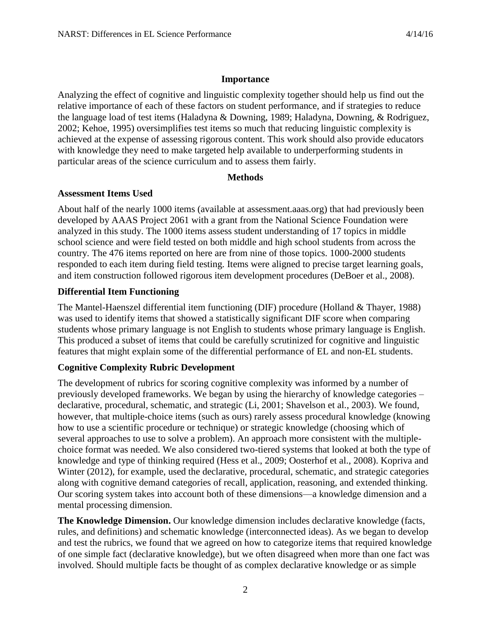# **Importance**

Analyzing the effect of cognitive and linguistic complexity together should help us find out the relative importance of each of these factors on student performance, and if strategies to reduce the language load of test items (Haladyna & Downing, 1989; Haladyna, Downing, & Rodriguez, 2002; Kehoe, 1995) oversimplifies test items so much that reducing linguistic complexity is achieved at the expense of assessing rigorous content. This work should also provide educators with knowledge they need to make targeted help available to underperforming students in particular areas of the science curriculum and to assess them fairly.

# **Methods**

# **Assessment Items Used**

About half of the nearly 1000 items (available at assessment.aaas.org) that had previously been developed by AAAS Project 2061 with a grant from the National Science Foundation were analyzed in this study. The 1000 items assess student understanding of 17 topics in middle school science and were field tested on both middle and high school students from across the country. The 476 items reported on here are from nine of those topics. 1000-2000 students responded to each item during field testing. Items were aligned to precise target learning goals, and item construction followed rigorous item development procedures (DeBoer et al., 2008).

# **Differential Item Functioning**

The Mantel-Haenszel differential item functioning (DIF) procedure (Holland & Thayer, 1988) was used to identify items that showed a statistically significant DIF score when comparing students whose primary language is not English to students whose primary language is English. This produced a subset of items that could be carefully scrutinized for cognitive and linguistic features that might explain some of the differential performance of EL and non-EL students.

# **Cognitive Complexity Rubric Development**

The development of rubrics for scoring cognitive complexity was informed by a number of previously developed frameworks. We began by using the hierarchy of knowledge categories – declarative, procedural, schematic, and strategic (Li, 2001; Shavelson et al., 2003). We found, however, that multiple-choice items (such as ours) rarely assess procedural knowledge (knowing how to use a scientific procedure or technique) or strategic knowledge (choosing which of several approaches to use to solve a problem). An approach more consistent with the multiplechoice format was needed. We also considered two-tiered systems that looked at both the type of knowledge and type of thinking required (Hess et al., 2009; Oosterhof et al., 2008). Kopriva and Winter (2012), for example, used the declarative, procedural, schematic, and strategic categories along with cognitive demand categories of recall, application, reasoning, and extended thinking. Our scoring system takes into account both of these dimensions—a knowledge dimension and a mental processing dimension.

**The Knowledge Dimension.** Our knowledge dimension includes declarative knowledge (facts, rules, and definitions) and schematic knowledge (interconnected ideas). As we began to develop and test the rubrics, we found that we agreed on how to categorize items that required knowledge of one simple fact (declarative knowledge), but we often disagreed when more than one fact was involved. Should multiple facts be thought of as complex declarative knowledge or as simple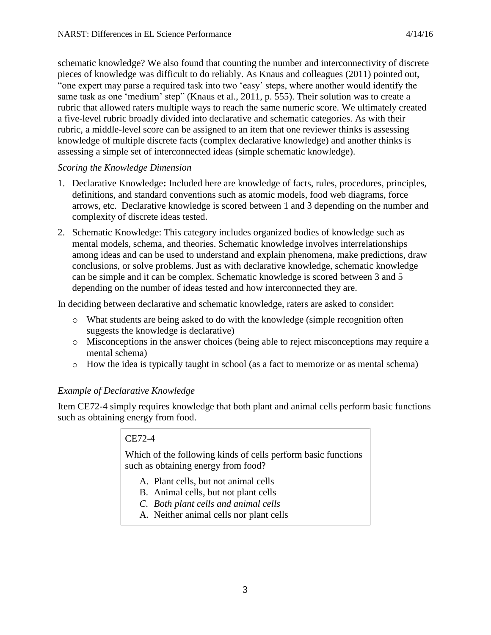schematic knowledge? We also found that counting the number and interconnectivity of discrete pieces of knowledge was difficult to do reliably. As Knaus and colleagues (2011) pointed out, "one expert may parse a required task into two 'easy' steps, where another would identify the same task as one 'medium' step" (Knaus et al., 2011, p. 555). Their solution was to create a rubric that allowed raters multiple ways to reach the same numeric score. We ultimately created a five-level rubric broadly divided into declarative and schematic categories. As with their rubric, a middle-level score can be assigned to an item that one reviewer thinks is assessing knowledge of multiple discrete facts (complex declarative knowledge) and another thinks is assessing a simple set of interconnected ideas (simple schematic knowledge).

# *Scoring the Knowledge Dimension*

- 1. Declarative Knowledge**:** Included here are knowledge of facts, rules, procedures, principles, definitions, and standard conventions such as atomic models, food web diagrams, force arrows, etc. Declarative knowledge is scored between 1 and 3 depending on the number and complexity of discrete ideas tested.
- 2. Schematic Knowledge: This category includes organized bodies of knowledge such as mental models, schema, and theories. Schematic knowledge involves interrelationships among ideas and can be used to understand and explain phenomena, make predictions, draw conclusions, or solve problems. Just as with declarative knowledge, schematic knowledge can be simple and it can be complex. Schematic knowledge is scored between 3 and 5 depending on the number of ideas tested and how interconnected they are.

In deciding between declarative and schematic knowledge, raters are asked to consider:

- o What students are being asked to do with the knowledge (simple recognition often suggests the knowledge is declarative)
- o Misconceptions in the answer choices (being able to reject misconceptions may require a mental schema)
- o How the idea is typically taught in school (as a fact to memorize or as mental schema)

# *Example of Declarative Knowledge*

Item CE72-4 simply requires knowledge that both plant and animal cells perform basic functions such as obtaining energy from food.

# CE72-4

Which of the following kinds of cells perform basic functions such as obtaining energy from food?

- A. Plant cells, but not animal cells
- B. Animal cells, but not plant cells
- *C. Both plant cells and animal cells*
- A. Neither animal cells nor plant cells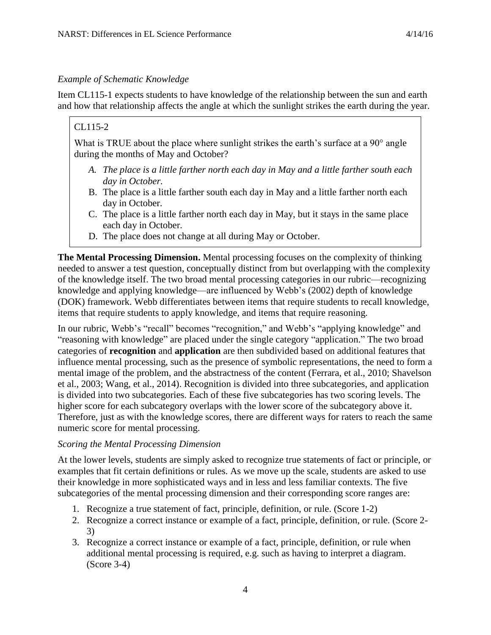Item CL115-1 expects students to have knowledge of the relationship between the sun and earth and how that relationship affects the angle at which the sunlight strikes the earth during the year.

# CL115-2

What is TRUE about the place where sunlight strikes the earth's surface at a 90<sup>°</sup> angle during the months of May and October?

- *A. The place is a little farther north each day in May and a little farther south each day in October.*
- B. The place is a little farther south each day in May and a little farther north each day in October.
- C. The place is a little farther north each day in May, but it stays in the same place each day in October.
- D. The place does not change at all during May or October.

**The Mental Processing Dimension.** Mental processing focuses on the complexity of thinking needed to answer a test question, conceptually distinct from but overlapping with the complexity of the knowledge itself. The two broad mental processing categories in our rubric—recognizing knowledge and applying knowledge—are influenced by Webb's (2002) depth of knowledge (DOK) framework. Webb differentiates between items that require students to recall knowledge, items that require students to apply knowledge, and items that require reasoning.

In our rubric, Webb's "recall" becomes "recognition," and Webb's "applying knowledge" and "reasoning with knowledge" are placed under the single category "application." The two broad categories of **recognition** and **application** are then subdivided based on additional features that influence mental processing, such as the presence of symbolic representations, the need to form a mental image of the problem, and the abstractness of the content (Ferrara, et al., 2010; Shavelson et al., 2003; Wang, et al., 2014). Recognition is divided into three subcategories, and application is divided into two subcategories. Each of these five subcategories has two scoring levels. The higher score for each subcategory overlaps with the lower score of the subcategory above it. Therefore, just as with the knowledge scores, there are different ways for raters to reach the same numeric score for mental processing.

# *Scoring the Mental Processing Dimension*

At the lower levels, students are simply asked to recognize true statements of fact or principle, or examples that fit certain definitions or rules. As we move up the scale, students are asked to use their knowledge in more sophisticated ways and in less and less familiar contexts. The five subcategories of the mental processing dimension and their corresponding score ranges are:

- 1. Recognize a true statement of fact, principle, definition, or rule. (Score 1-2)
- 2. Recognize a correct instance or example of a fact, principle, definition, or rule. (Score 2- 3)
- 3. Recognize a correct instance or example of a fact, principle, definition, or rule when additional mental processing is required, e.g. such as having to interpret a diagram. (Score 3-4)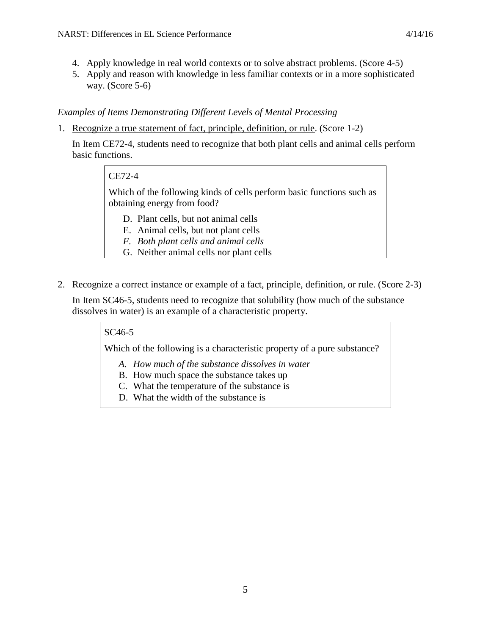- 4. Apply knowledge in real world contexts or to solve abstract problems. (Score 4-5)
- 5. Apply and reason with knowledge in less familiar contexts or in a more sophisticated way. (Score 5-6)

# *Examples of Items Demonstrating Different Levels of Mental Processing*

1. Recognize a true statement of fact, principle, definition, or rule. (Score 1-2)

In Item CE72-4, students need to recognize that both plant cells and animal cells perform basic functions.

# CE72-4

Which of the following kinds of cells perform basic functions such as obtaining energy from food?

- D. Plant cells, but not animal cells
- E. Animal cells, but not plant cells
- *F. Both plant cells and animal cells*
- G. Neither animal cells nor plant cells
- 2. Recognize a correct instance or example of a fact, principle, definition, or rule. (Score 2-3)

In Item SC46-5, students need to recognize that solubility (how much of the substance dissolves in water) is an example of a characteristic property.

# SC46-5

Which of the following is a characteristic property of a pure substance?

- *A. How much of the substance dissolves in water*
- B. How much space the substance takes up
- C. What the temperature of the substance is
- D. What the width of the substance is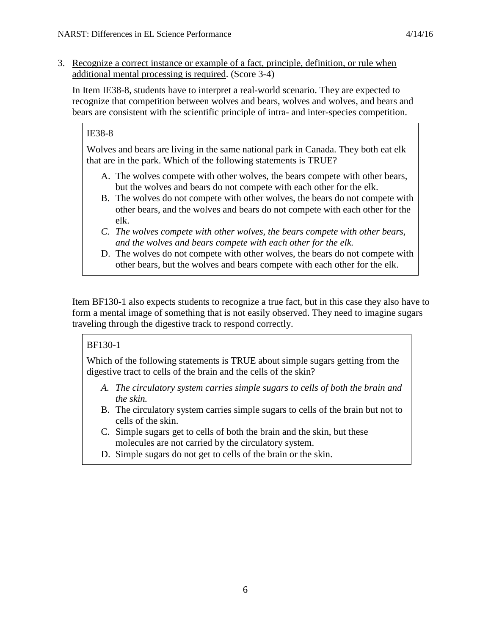3. Recognize a correct instance or example of a fact, principle, definition, or rule when additional mental processing is required. (Score 3-4)

In Item IE38-8, students have to interpret a real-world scenario. They are expected to recognize that competition between wolves and bears, wolves and wolves, and bears and bears are consistent with the scientific principle of intra- and inter-species competition.

# IE38-8

Wolves and bears are living in the same national park in Canada. They both eat elk that are in the park. Which of the following statements is TRUE?

- A. The wolves compete with other wolves, the bears compete with other bears, but the wolves and bears do not compete with each other for the elk.
- B. The wolves do not compete with other wolves, the bears do not compete with other bears, and the wolves and bears do not compete with each other for the elk.
- *C. The wolves compete with other wolves, the bears compete with other bears, and the wolves and bears compete with each other for the elk.*
- D. The wolves do not compete with other wolves, the bears do not compete with other bears, but the wolves and bears compete with each other for the elk.

Item BF130-1 also expects students to recognize a true fact, but in this case they also have to form a mental image of something that is not easily observed. They need to imagine sugars traveling through the digestive track to respond correctly.

# BF130-1

Which of the following statements is TRUE about simple sugars getting from the digestive tract to cells of the brain and the cells of the skin?

- *A. The circulatory system carries simple sugars to cells of both the brain and the skin.*
- B. The circulatory system carries simple sugars to cells of the brain but not to cells of the skin.
- C. Simple sugars get to cells of both the brain and the skin, but these molecules are not carried by the circulatory system.
- D. Simple sugars do not get to cells of the brain or the skin.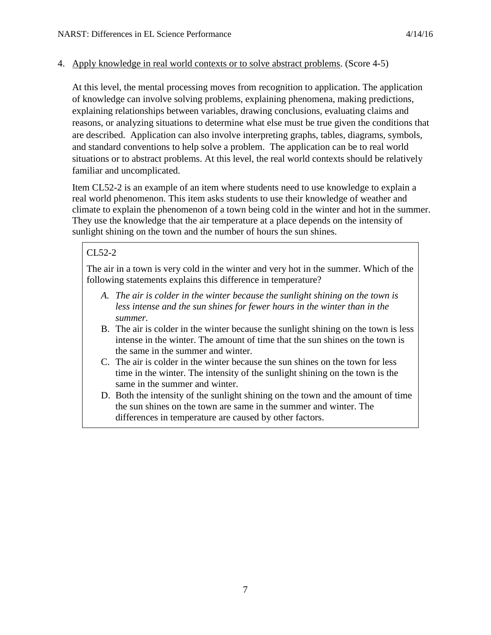### 4. Apply knowledge in real world contexts or to solve abstract problems. (Score 4-5)

At this level, the mental processing moves from recognition to application. The application of knowledge can involve solving problems, explaining phenomena, making predictions, explaining relationships between variables, drawing conclusions, evaluating claims and reasons, or analyzing situations to determine what else must be true given the conditions that are described. Application can also involve interpreting graphs, tables, diagrams, symbols, and standard conventions to help solve a problem. The application can be to real world situations or to abstract problems. At this level, the real world contexts should be relatively familiar and uncomplicated.

Item CL52-2 is an example of an item where students need to use knowledge to explain a real world phenomenon. This item asks students to use their knowledge of weather and climate to explain the phenomenon of a town being cold in the winter and hot in the summer. They use the knowledge that the air temperature at a place depends on the intensity of sunlight shining on the town and the number of hours the sun shines.

# CL52-2

The air in a town is very cold in the winter and very hot in the summer. Which of the following statements explains this difference in temperature?

- *A. The air is colder in the winter because the sunlight shining on the town is less intense and the sun shines for fewer hours in the winter than in the summer.*
- B. The air is colder in the winter because the sunlight shining on the town is less intense in the winter. The amount of time that the sun shines on the town is the same in the summer and winter.
- C. The air is colder in the winter because the sun shines on the town for less time in the winter. The intensity of the sunlight shining on the town is the same in the summer and winter.
- D. Both the intensity of the sunlight shining on the town and the amount of time the sun shines on the town are same in the summer and winter. The differences in temperature are caused by other factors.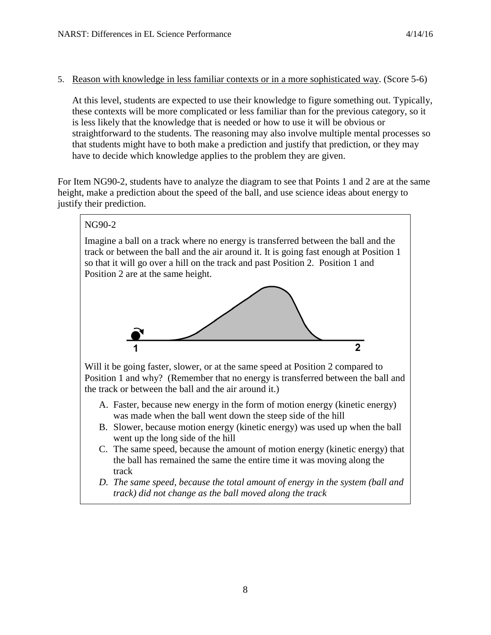### 5. Reason with knowledge in less familiar contexts or in a more sophisticated way. (Score 5-6)

At this level, students are expected to use their knowledge to figure something out. Typically, these contexts will be more complicated or less familiar than for the previous category, so it is less likely that the knowledge that is needed or how to use it will be obvious or straightforward to the students. The reasoning may also involve multiple mental processes so that students might have to both make a prediction and justify that prediction, or they may have to decide which knowledge applies to the problem they are given.

For Item NG90-2, students have to analyze the diagram to see that Points 1 and 2 are at the same height, make a prediction about the speed of the ball, and use science ideas about energy to justify their prediction.

# NG90-2 Imagine a ball on a track where no energy is transferred between the ball and the track or between the ball and the air around it. It is going fast enough at Position 1 so that it will go over a hill on the track and past Position 2. Position 1 and Position 2 are at the same height.  $\overline{2}$ Will it be going faster, slower, or at the same speed at Position 2 compared to Position 1 and why? (Remember that no energy is transferred between the ball and the track or between the ball and the air around it.) A. Faster, because new energy in the form of motion energy (kinetic energy) was made when the ball went down the steep side of the hill B. Slower, because motion energy (kinetic energy) was used up when the ball went up the long side of the hill C. The same speed, because the amount of motion energy (kinetic energy) that the ball has remained the same the entire time it was moving along the track

*D. The same speed, because the total amount of energy in the system (ball and track) did not change as the ball moved along the track*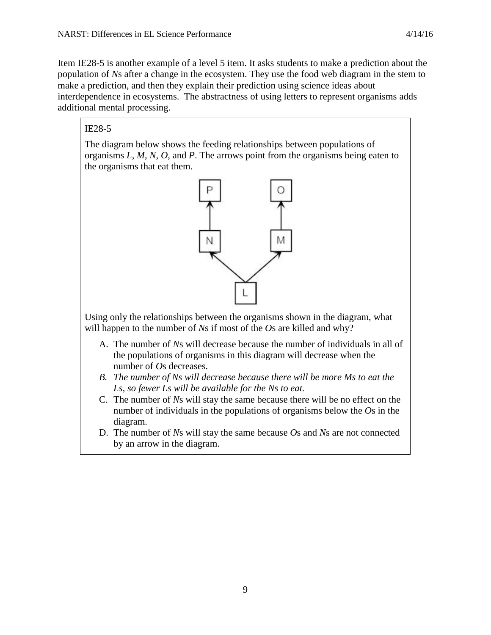Item IE28-5 is another example of a level 5 item. It asks students to make a prediction about the population of *N*s after a change in the ecosystem. They use the food web diagram in the stem to make a prediction, and then they explain their prediction using science ideas about interdependence in ecosystems. The abstractness of using letters to represent organisms adds additional mental processing.

# IE28-5

The diagram below shows the feeding relationships between populations of organisms *L*, *M*, *N*, *O*, and *P*. The arrows point from the organisms being eaten to the organisms that eat them.



Using only the relationships between the organisms shown in the diagram, what will happen to the number of *N*s if most of the *O*s are killed and why?

- A. The number of *N*s will decrease because the number of individuals in all of the populations of organisms in this diagram will decrease when the number of *O*s decreases.
- *B. The number of Ns will decrease because there will be more Ms to eat the Ls, so fewer Ls will be available for the Ns to eat.*
- C. The number of *N*s will stay the same because there will be no effect on the number of individuals in the populations of organisms below the *O*s in the diagram.
- D. The number of *N*s will stay the same because *O*s and *N*s are not connected by an arrow in the diagram.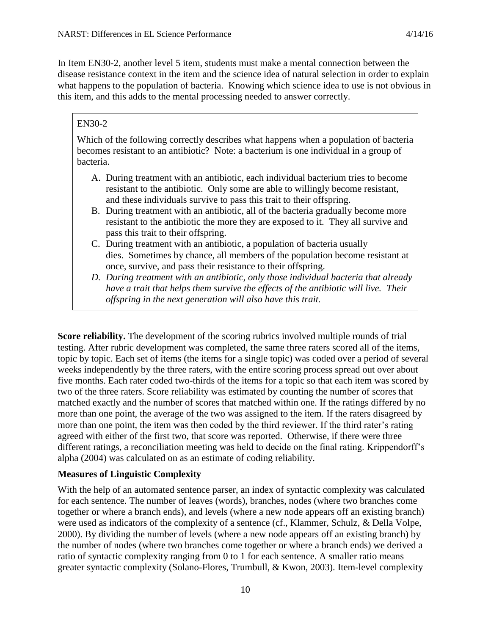In Item EN30-2, another level 5 item, students must make a mental connection between the disease resistance context in the item and the science idea of natural selection in order to explain what happens to the population of bacteria. Knowing which science idea to use is not obvious in this item, and this adds to the mental processing needed to answer correctly.

### EN30-2

Which of the following correctly describes what happens when a population of bacteria becomes resistant to an antibiotic? Note: a bacterium is one individual in a group of bacteria.

- A. During treatment with an antibiotic, each individual bacterium tries to become resistant to the antibiotic. Only some are able to willingly become resistant, and these individuals survive to pass this trait to their offspring.
- B. During treatment with an antibiotic, all of the bacteria gradually become more resistant to the antibiotic the more they are exposed to it. They all survive and pass this trait to their offspring.
- C. During treatment with an antibiotic, a population of bacteria usually dies. Sometimes by chance, all members of the population become resistant at once, survive, and pass their resistance to their offspring.
- *D. During treatment with an antibiotic, only those individual bacteria that already have a trait that helps them survive the effects of the antibiotic will live. Their offspring in the next generation will also have this trait.*

**Score reliability.** The development of the scoring rubrics involved multiple rounds of trial testing. After rubric development was completed, the same three raters scored all of the items, topic by topic. Each set of items (the items for a single topic) was coded over a period of several weeks independently by the three raters, with the entire scoring process spread out over about five months. Each rater coded two-thirds of the items for a topic so that each item was scored by two of the three raters. Score reliability was estimated by counting the number of scores that matched exactly and the number of scores that matched within one. If the ratings differed by no more than one point, the average of the two was assigned to the item. If the raters disagreed by more than one point, the item was then coded by the third reviewer. If the third rater's rating agreed with either of the first two, that score was reported. Otherwise, if there were three different ratings, a reconciliation meeting was held to decide on the final rating. Krippendorff's alpha (2004) was calculated on as an estimate of coding reliability.

# **Measures of Linguistic Complexity**

With the help of an automated sentence parser, an index of syntactic complexity was calculated for each sentence. The number of leaves (words), branches, nodes (where two branches come together or where a branch ends), and levels (where a new node appears off an existing branch) were used as indicators of the complexity of a sentence (cf., Klammer, Schulz, & Della Volpe, 2000). By dividing the number of levels (where a new node appears off an existing branch) by the number of nodes (where two branches come together or where a branch ends) we derived a ratio of syntactic complexity ranging from 0 to 1 for each sentence. A smaller ratio means greater syntactic complexity (Solano-Flores, Trumbull, & Kwon, 2003). Item-level complexity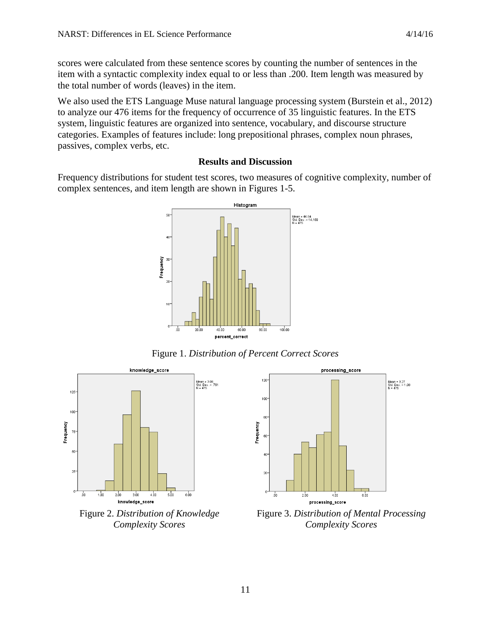scores were calculated from these sentence scores by counting the number of sentences in the item with a syntactic complexity index equal to or less than .200. Item length was measured by the total number of words (leaves) in the item.

We also used the ETS Language Muse natural language processing system (Burstein et al., 2012) to analyze our 476 items for the frequency of occurrence of 35 linguistic features. In the ETS system, linguistic features are organized into sentence, vocabulary, and discourse structure categories. Examples of features include: long prepositional phrases, complex noun phrases, passives, complex verbs, etc.

### **Results and Discussion**

Frequency distributions for student test scores, two measures of cognitive complexity, number of complex sentences, and item length are shown in Figures 1-5.



Figure 1. *Distribution of Percent Correct Scores*



Figure 2. *Distribution of Knowledge Complexity Scores*



Figure 3. *Distribution of Mental Processing Complexity Scores*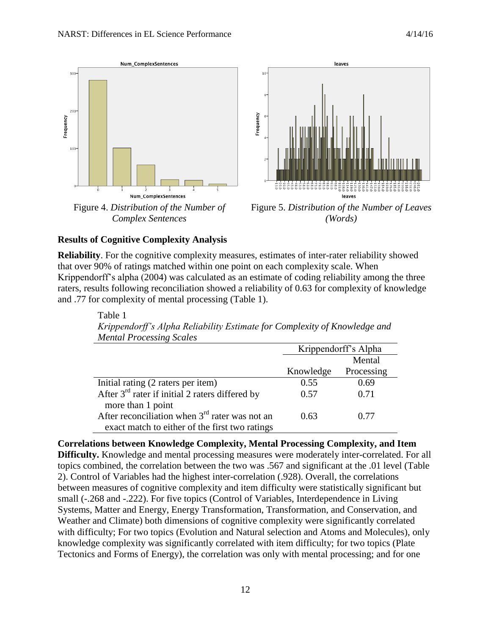

Figure 4. *Distribution of the Number of Complex Sentences*



Figure 5. *Distribution of the Number of Leaves (Words)*

### **Results of Cognitive Complexity Analysis**

**Reliability**. For the cognitive complexity measures, estimates of inter-rater reliability showed that over 90% of ratings matched within one point on each complexity scale. When Krippendorff's alpha (2004) was calculated as an estimate of coding reliability among the three raters, results following reconciliation showed a reliability of 0.63 for complexity of knowledge and .77 for complexity of mental processing (Table 1).

Table 1 *Krippendorff's Alpha Reliability Estimate for Complexity of Knowledge and Mental Processing Scales* Krippendorff's Alpha Knowledge Mental Processing

| Initial rating (2 raters per item)                | 0.55 | 0.69 |
|---------------------------------------------------|------|------|
| After $3rd$ rater if initial 2 raters differed by | 0.57 | 0.71 |
| more than 1 point                                 |      |      |
| After reconciliation when $3rd$ rater was not an  | 0.63 | 0.77 |
| exact match to either of the first two ratings    |      |      |

**Correlations between Knowledge Complexity, Mental Processing Complexity, and Item Difficulty.** Knowledge and mental processing measures were moderately inter-correlated. For all topics combined, the correlation between the two was .567 and significant at the .01 level (Table 2). Control of Variables had the highest inter-correlation (.928). Overall, the correlations between measures of cognitive complexity and item difficulty were statistically significant but small (-.268 and -.222). For five topics (Control of Variables, Interdependence in Living Systems, Matter and Energy, Energy Transformation, Transformation, and Conservation, and Weather and Climate) both dimensions of cognitive complexity were significantly correlated with difficulty; For two topics (Evolution and Natural selection and Atoms and Molecules), only knowledge complexity was significantly correlated with item difficulty; for two topics (Plate Tectonics and Forms of Energy), the correlation was only with mental processing; and for one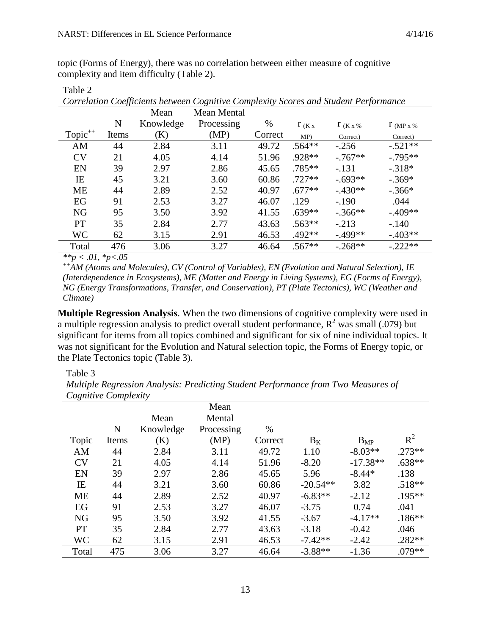topic (Forms of Energy), there was no correlation between either measure of cognitive complexity and item difficulty (Table 2).

|                     |       | Mean      | <b>Mean Mental</b> |         |            |                 |                   |
|---------------------|-------|-----------|--------------------|---------|------------|-----------------|-------------------|
|                     | N     | Knowledge | Processing         | %       | $\int K x$ | $\int K x \, %$ | $\Gamma$ (MP x %) |
| Topic <sup>++</sup> | Items | (K)       | (MP)               | Correct | MP         | Correct)        | Correct)          |
| AM                  | 44    | 2.84      | 3.11               | 49.72   | $.564**$   | $-.256$         | $-.521**$         |
| CV                  | 21    | 4.05      | 4.14               | 51.96   | .928**     | $-0.767**$      | $-0.795**$        |
| EN                  | 39    | 2.97      | 2.86               | 45.65   | $.785**$   | $-.131$         | $-.318*$          |
| IE                  | 45    | 3.21      | 3.60               | 60.86   | $.727**$   | $-.693**$       | $-.369*$          |
| <b>ME</b>           | 44    | 2.89      | 2.52               | 40.97   | $.677**$   | $-.430**$       | $-.366*$          |
| EG                  | 91    | 2.53      | 3.27               | 46.07   | .129       | $-.190$         | .044              |
| <b>NG</b>           | 95    | 3.50      | 3.92               | 41.55   | $.639**$   | $-.366**$       | $-.409**$         |
| <b>PT</b>           | 35    | 2.84      | 2.77               | 43.63   | $.563**$   | $-.213$         | $-.140$           |
| <b>WC</b>           | 62    | 3.15      | 2.91               | 46.53   | .492**     | $-.499**$       | $-.403**$         |
| Total               | 476   | 3.06      | 3.27               | 46.64   | $.567**$   | $-.268**$       | $-.222**$         |

Table 2

*Correlation Coefficients between Cognitive Complexity Scores and Student Performance*

*\*\*p < .01, \*p<.05*

*++AM (Atoms and Molecules), CV (Control of Variables), EN (Evolution and Natural Selection), IE (Interdependence in Ecosystems), ME (Matter and Energy in Living Systems), EG (Forms of Energy), NG (Energy Transformations, Transfer, and Conservation), PT (Plate Tectonics), WC (Weather and Climate)*

**Multiple Regression Analysis**. When the two dimensions of cognitive complexity were used in a multiple regression analysis to predict overall student performance,  $R^2$  was small (.079) but significant for items from all topics combined and significant for six of nine individual topics. It was not significant for the Evolution and Natural selection topic, the Forms of Energy topic, or the Plate Tectonics topic (Table 3).

#### Table 3

*Multiple Regression Analysis: Predicting Student Performance from Two Measures of Cognitive Complexity*

|           |       |           | Mean       |         |            |            |           |
|-----------|-------|-----------|------------|---------|------------|------------|-----------|
|           |       | Mean      | Mental     |         |            |            |           |
|           | N     | Knowledge | Processing | $\%$    |            |            |           |
| Topic     | Items | (K)       | (MP)       | Correct | $B_K$      | $B_{MP}$   | $R^2$     |
| AM        | 44    | 2.84      | 3.11       | 49.72   | 1.10       | $-8.03**$  | $.273**$  |
| CV        | 21    | 4.05      | 4.14       | 51.96   | $-8.20$    | $-17.38**$ | $.638**$  |
| EN        | 39    | 2.97      | 2.86       | 45.65   | 5.96       | $-8.44*$   | .138      |
| IE        | 44    | 3.21      | 3.60       | 60.86   | $-20.54**$ | 3.82       | $.518**$  |
| <b>ME</b> | 44    | 2.89      | 2.52       | 40.97   | $-6.83**$  | $-2.12$    | $.195***$ |
| EG        | 91    | 2.53      | 3.27       | 46.07   | $-3.75$    | 0.74       | .041      |
| <b>NG</b> | 95    | 3.50      | 3.92       | 41.55   | $-3.67$    | $-4.17**$  | $.186**$  |
| <b>PT</b> | 35    | 2.84      | 2.77       | 43.63   | $-3.18$    | $-0.42$    | .046      |
| <b>WC</b> | 62    | 3.15      | 2.91       | 46.53   | $-7.42**$  | $-2.42$    | $.282**$  |
| Total     | 475   | 3.06      | 3.27       | 46.64   | $-3.88**$  | $-1.36$    | $.079**$  |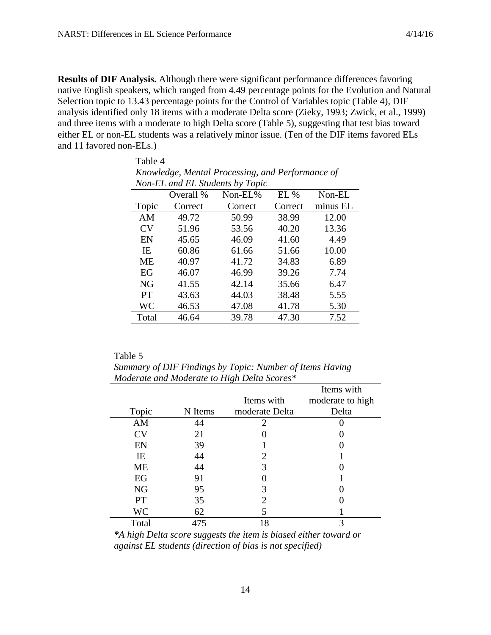Table 4

**Results of DIF Analysis.** Although there were significant performance differences favoring native English speakers, which ranged from 4.49 percentage points for the Evolution and Natural Selection topic to 13.43 percentage points for the Control of Variables topic (Table 4), DIF analysis identified only 18 items with a moderate Delta score (Zieky, 1993; Zwick, et al., 1999) and three items with a moderate to high Delta score (Table 5), suggesting that test bias toward either EL or non-EL students was a relatively minor issue. (Ten of the DIF items favored ELs and 11 favored non-ELs.)

| ruviv i                                          |                                 |         |         |          |  |  |
|--------------------------------------------------|---------------------------------|---------|---------|----------|--|--|
| Knowledge, Mental Processing, and Performance of |                                 |         |         |          |  |  |
|                                                  | Non-EL and EL Students by Topic |         |         |          |  |  |
|                                                  | Overall %                       | Non-EL% | EL%     | Non-EL   |  |  |
| Topic                                            | Correct                         | Correct | Correct | minus EL |  |  |
| AM                                               | 49.72                           | 50.99   | 38.99   | 12.00    |  |  |
| <b>CV</b>                                        | 51.96                           | 53.56   | 40.20   | 13.36    |  |  |
| EN                                               | 45.65                           | 46.09   | 41.60   | 4.49     |  |  |
| IE                                               | 60.86                           | 61.66   | 51.66   | 10.00    |  |  |
| <b>ME</b>                                        | 40.97                           | 41.72   | 34.83   | 6.89     |  |  |
| EG                                               | 46.07                           | 46.99   | 39.26   | 7.74     |  |  |
| <b>NG</b>                                        | 41.55                           | 42.14   | 35.66   | 6.47     |  |  |
| PT                                               | 43.63                           | 44.03   | 38.48   | 5.55     |  |  |
| WC                                               | 46.53                           | 47.08   | 41.78   | 5.30     |  |  |
| Total                                            | 46.64                           | 39.78   | 47.30   | 7.52     |  |  |

| Table 5                                                  |
|----------------------------------------------------------|
| Summary of DIF Findings by Topic: Number of Items Having |
| Moderate and Moderate to High Delta Scores*              |

|           |         |                | Items with       |
|-----------|---------|----------------|------------------|
|           |         | Items with     | moderate to high |
| Topic     | N Items | moderate Delta | Delta            |
| AM        | 44      | 2              |                  |
| <b>CV</b> | 21      |                |                  |
| EN        | 39      |                |                  |
| IE        | 44      |                |                  |
| <b>ME</b> | 44      | 3              |                  |
| EG        | 91      |                |                  |
| <b>NG</b> | 95      |                |                  |
| <b>PT</b> | 35      |                |                  |
| <b>WC</b> | 62      |                |                  |
| Total     | 475     | 18             |                  |

*\*A high Delta score suggests the item is biased either toward or against EL students (direction of bias is not specified)*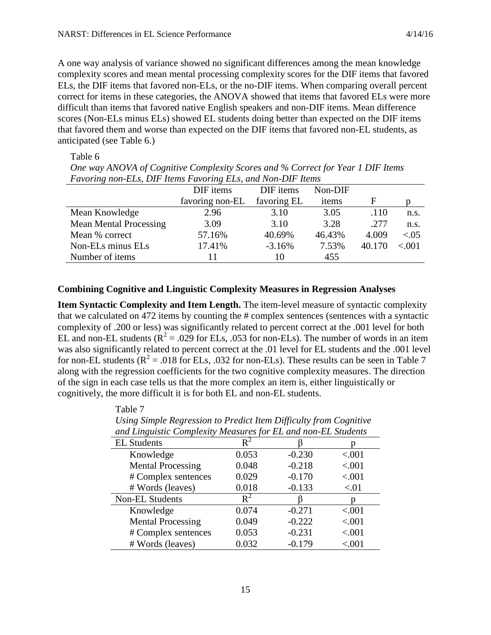Table 7

A one way analysis of variance showed no significant differences among the mean knowledge complexity scores and mean mental processing complexity scores for the DIF items that favored ELs, the DIF items that favored non-ELs, or the no-DIF items. When comparing overall percent correct for items in these categories, the ANOVA showed that items that favored ELs were more difficult than items that favored native English speakers and non-DIF items. Mean difference scores (Non-ELs minus ELs) showed EL students doing better than expected on the DIF items that favored them and worse than expected on the DIF items that favored non-EL students, as anticipated (see Table 6.)

#### Table 6

*One way ANOVA of Cognitive Complexity Scores and % Correct for Year 1 DIF Items Favoring non-ELs, DIF Items Favoring ELs, and Non-DIF Items*

| I wrothig hold blog DII Tiento I wrothig blog when Hold DII Tiento | DIF items       | DIF items   | Non-DIF |        |          |
|--------------------------------------------------------------------|-----------------|-------------|---------|--------|----------|
|                                                                    | favoring non-EL | favoring EL | items   | F      |          |
| Mean Knowledge                                                     | 2.96            | 3.10        | 3.05    | .110   | n.s.     |
| <b>Mean Mental Processing</b>                                      | 3.09            | 3.10        | 3.28    | .277   | n.s.     |
| Mean % correct                                                     | 57.16%          | 40.69%      | 46.43%  | 4.009  | ${<}.05$ |
| Non-ELs minus ELs                                                  | 17.41%          | $-3.16%$    | 7.53%   | 40.170 | ${<}001$ |
| Number of items                                                    |                 | 10          | 455     |        |          |

### **Combining Cognitive and Linguistic Complexity Measures in Regression Analyses**

**Item Syntactic Complexity and Item Length.** The item-level measure of syntactic complexity that we calculated on 472 items by counting the # complex sentences (sentences with a syntactic complexity of .200 or less) was significantly related to percent correct at the .001 level for both EL and non-EL students ( $R^2 = .029$  for ELs, .053 for non-ELs). The number of words in an item was also significantly related to percent correct at the .01 level for EL students and the .001 level for non-EL students  $(R^2 = .018$  for ELs, .032 for non-ELs). These results can be seen in Table 7 along with the regression coefficients for the two cognitive complexity measures. The direction of the sign in each case tells us that the more complex an item is, either linguistically or cognitively, the more difficult it is for both EL and non-EL students.

| Using Simple Regression to Predict Item Difficulty from Cognitive |       |          |         |  |  |
|-------------------------------------------------------------------|-------|----------|---------|--|--|
| and Linguistic Complexity Measures for EL and non-EL Students     |       |          |         |  |  |
| <b>EL Students</b>                                                | $R^2$ |          |         |  |  |
| Knowledge                                                         | 0.053 | $-0.230$ | < .001  |  |  |
| <b>Mental Processing</b>                                          | 0.048 | $-0.218$ | < .001  |  |  |
| # Complex sentences                                               | 0.029 | $-0.170$ | < .001  |  |  |
| # Words (leaves)                                                  | 0.018 | $-0.133$ | < 01    |  |  |
| Non-EL Students                                                   | $R^2$ |          |         |  |  |
| Knowledge                                                         | 0.074 | $-0.271$ | < .001  |  |  |
| <b>Mental Processing</b>                                          | 0.049 | $-0.222$ | < .001  |  |  |
| # Complex sentences                                               | 0.053 | $-0.231$ | < .001  |  |  |
| # Words (leaves)                                                  | 0.032 | $-0.179$ | < 0.001 |  |  |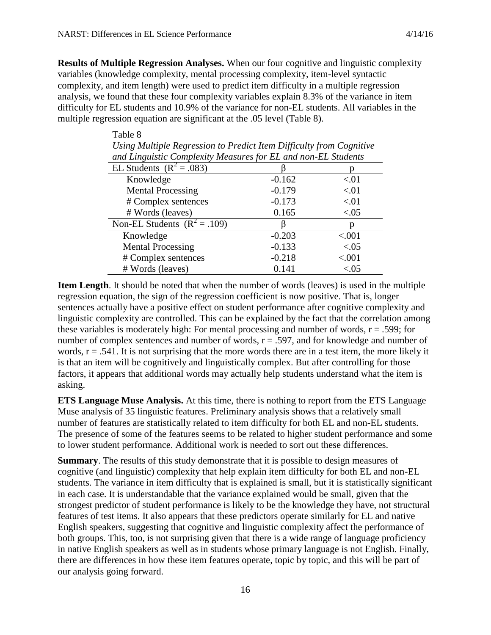Table 8

**Results of Multiple Regression Analyses.** When our four cognitive and linguistic complexity variables (knowledge complexity, mental processing complexity, item-level syntactic complexity, and item length) were used to predict item difficulty in a multiple regression analysis, we found that these four complexity variables explain 8.3% of the variance in item difficulty for EL students and 10.9% of the variance for non-EL students. All variables in the multiple regression equation are significant at the .05 level (Table 8).

| Using Multiple Regression to Predict Item Difficulty from Cognitive |          |        |  |  |  |
|---------------------------------------------------------------------|----------|--------|--|--|--|
| and Linguistic Complexity Measures for EL and non-EL Students       |          |        |  |  |  |
| EL Students $(R^2 = .083)$                                          |          |        |  |  |  |
| Knowledge                                                           | $-0.162$ | < 01   |  |  |  |
| <b>Mental Processing</b>                                            | $-0.179$ | < 01   |  |  |  |
| # Complex sentences                                                 | $-0.173$ | < 01   |  |  |  |
| # Words (leaves)                                                    | 0.165    | < 0.05 |  |  |  |
| Non-EL Students $(R^2 = .109)$                                      |          | n      |  |  |  |
| Knowledge                                                           | $-0.203$ | < .001 |  |  |  |
| <b>Mental Processing</b>                                            | $-0.133$ | < 0.05 |  |  |  |
| # Complex sentences                                                 | $-0.218$ | < .001 |  |  |  |
| # Words (leaves)                                                    | 0.141    | < 0.05 |  |  |  |

**Item Length**. It should be noted that when the number of words (leaves) is used in the multiple regression equation, the sign of the regression coefficient is now positive. That is, longer sentences actually have a positive effect on student performance after cognitive complexity and linguistic complexity are controlled. This can be explained by the fact that the correlation among these variables is moderately high: For mental processing and number of words,  $r = .599$ ; for number of complex sentences and number of words,  $r = .597$ , and for knowledge and number of words,  $r = .541$ . It is not surprising that the more words there are in a test item, the more likely it is that an item will be cognitively and linguistically complex. But after controlling for those factors, it appears that additional words may actually help students understand what the item is asking.

**ETS Language Muse Analysis.** At this time, there is nothing to report from the ETS Language Muse analysis of 35 linguistic features. Preliminary analysis shows that a relatively small number of features are statistically related to item difficulty for both EL and non-EL students. The presence of some of the features seems to be related to higher student performance and some to lower student performance. Additional work is needed to sort out these differences.

**Summary**. The results of this study demonstrate that it is possible to design measures of cognitive (and linguistic) complexity that help explain item difficulty for both EL and non-EL students. The variance in item difficulty that is explained is small, but it is statistically significant in each case. It is understandable that the variance explained would be small, given that the strongest predictor of student performance is likely to be the knowledge they have, not structural features of test items. It also appears that these predictors operate similarly for EL and native English speakers, suggesting that cognitive and linguistic complexity affect the performance of both groups. This, too, is not surprising given that there is a wide range of language proficiency in native English speakers as well as in students whose primary language is not English. Finally, there are differences in how these item features operate, topic by topic, and this will be part of our analysis going forward.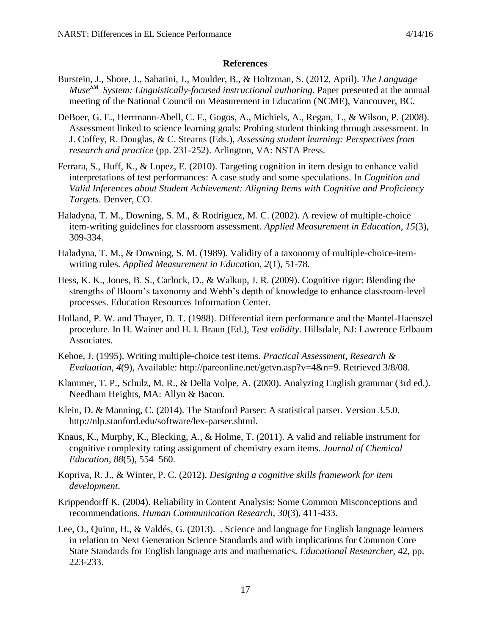#### **References**

- Burstein, J., Shore, J., Sabatini, J., Moulder, B., & Holtzman, S. (2012, April). *The Language MuseSM System: Linguistically-focused instructional authoring*. Paper presented at the annual meeting of the National Council on Measurement in Education (NCME), Vancouver, BC.
- DeBoer, G. E., Herrmann-Abell, C. F., Gogos, A., Michiels, A., Regan, T., & Wilson, P. (2008). Assessment linked to science learning goals: Probing student thinking through assessment. In J. Coffey, R. Douglas, & C. Stearns (Eds.), *Assessing student learning: Perspectives from research and practice* (pp. 231-252). Arlington, VA: NSTA Press.
- Ferrara, S., Huff, K., & Lopez, E. (2010). Targeting cognition in item design to enhance valid interpretations of test performances: A case study and some speculations. In *Cognition and Valid Inferences about Student Achievement: Aligning Items with Cognitive and Proficiency Targets*. Denver, CO.
- Haladyna, T. M., Downing, S. M., & Rodriguez, M. C. (2002). A review of multiple-choice item-writing guidelines for classroom assessment. *Applied Measurement in Education, 15*(3), 309-334.
- Haladyna, T. M., & Downing, S. M. (1989). Validity of a taxonomy of multiple-choice-itemwriting rules. *Applied Measurement in Educa*tion, *2*(1), 51-78.
- Hess, K. K., Jones, B. S., Carlock, D., & Walkup, J. R. (2009). Cognitive rigor: Blending the strengths of Bloom's taxonomy and Webb's depth of knowledge to enhance classroom-level processes. Education Resources Information Center.
- Holland, P. W. and Thayer, D. T. (1988). Differential item performance and the Mantel-Haenszel procedure. In H. Wainer and H. I. Braun (Ed.), *Test validity*. Hillsdale, NJ: Lawrence Erlbaum Associates.
- Kehoe, J. (1995). Writing multiple-choice test items. *Practical Assessment, Research & Evaluation, 4*(9), Available: http://pareonline.net/getvn.asp?v=4&n=9. Retrieved 3/8/08.
- Klammer, T. P., Schulz, M. R., & Della Volpe, A. (2000). Analyzing English grammar (3rd ed.). Needham Heights, MA: Allyn & Bacon.
- Klein, D. & Manning, C. (2014). The Stanford Parser: A statistical parser. Version 3.5.0. http://nlp.stanford.edu/software/lex-parser.shtml.
- Knaus, K., Murphy, K., Blecking, A., & Holme, T. (2011). A valid and reliable instrument for cognitive complexity rating assignment of chemistry exam items. *Journal of Chemical Education*, *88*(5), 554–560.
- Kopriva, R. J., & Winter, P. C. (2012). *Designing a cognitive skills framework for item development*.
- Krippendorff K. (2004). Reliability in Content Analysis: Some Common Misconceptions and recommendations. *Human Communication Research*, *30*(3), 411-433.
- Lee, O., Quinn, H., & Valdés, G. (2013). . Science and language for English language learners in relation to Next Generation Science Standards and with implications for Common Core State Standards for English language arts and mathematics. *Educational Researcher*, 42, pp. 223-233.